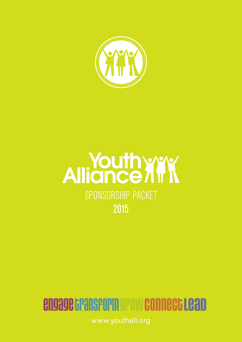

## **Alliance ATK** SPONSORSHIP PACKET 2015

### engage Gransform or ow connect Lead

www.youthall.org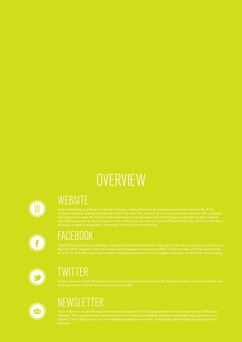### **OVERVIEW**



#### **WEBSITE**



### FACEBOOK



### TWITTER



### **NEWSLETTER**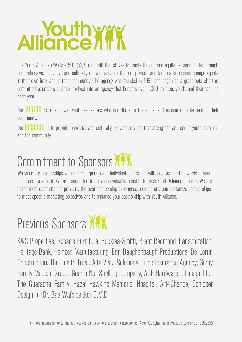# **Alliance ATT**

The Youth Alliance (YA) is a 501 (c)(3) nonprofit that strives to create thriving and equitable communities through comprehensive, innovative and culturally relevant services that equip youth and families to become change agents in their own lives and in their community. The agency was founded in 1995 and began as a grassroots effort of committed volunteers and has evolved into an agency that benefits over 6,000 children, youth, and their families each year.

Our **VISION** is to empower youth as leaders who contribute to the social and economic betterment of their community.

Our **MISSION** is to provide innovative and culturally relevant services that strengthen and enrich youth, families, and the community.

### Commitment to Sponsors ATK

We value our partnerships with major corporate and individual donors and will serve as good stewards of your generous investment. We are committed to delivering valuable benefits to each Youth Alliance sponsor. We are furthermore committed to providing the best sponsorship experience possible and can customize sponsorships to meet specific marketing objectives and to enhance your partnership with Youth Alliance.

### Previous Sponsors XXX

K&S Properties, Rosso's Furniture, Buckles-Smith, Brent Redmond Transportation, Heritage Bank, Heinzen Manufacturing, Erin Daughenbaugh Productions, De-Lorrin Construction, The Health Trust, Alta Vista Solutions, Filice Insurance Agency, Gilroy Family Medical Group, Guerra Nut Shelling Company, ACE Hardware, Chicago Title, The Guaracha Family, Hazel Hawkins Memorial Hospital, Art4Change, Schipper Design +, Dr. Bas Wafelbakker D.M.D.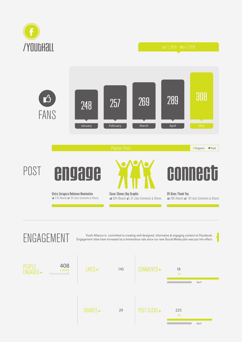



PEOPLE<br>ENGAGED <del>-</del>

ENGAGEMENT Youth Alliance is committed to creating well-designed, informative & engaging content on Facebook.<br>ENGAGEMENT Engagement rates have increased at a tremendous rate since our new Social Media plan was put into eff Engagement rates have increased at a tremendous rate since our new Social Media plan was put into effect.

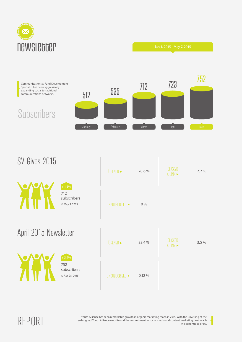

Communications & Fund Development Specialist has been aggressively expanding social & traditional communications networks.



#### SV Gives 2015

Subscribers

|                       |                                                | OPENED >       | 28.6%  | CLICKED<br>A LINK $\blacktriangleright$ | 2.2% |
|-----------------------|------------------------------------------------|----------------|--------|-----------------------------------------|------|
|                       | $+1.5%$<br>712<br>subscribers<br>⊙ May 5, 2015 | UNSUBSCRIBED > | 0%     |                                         |      |
| April 2015 Newsletter |                                                | OPENED >       | 33.4 % | CLICKED<br>$\Lambda$ I INI $V$          | 3.5% |

752 subscribers } Apr 28, 2015

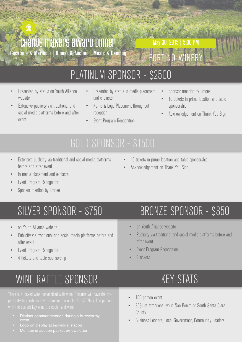## **CHANGE MAKERS AWARD DINNER**<br>Cocktails & Mariachi | Dinner & Auction | Music & Dancing

FORTINO WINERY May 30, 2015 | 5:30 PM

### PLATINUM SPONSOR - \$2500

• Presented by status on Youth Alliance website

 $\ddot{2}$ 

- Extensive publicity via traditional and social media platforms before and after event
- Presented by status in media placement and e-blasts
- Name & Logo Placement throughout reception
- **Event Program Recognition**
- Sponsor mention by Emcee
- 10 tickets in prime location and table sponsorship
- Acknowledgement on Thank You Sign

- Extensive publicity via traditional and social media platforms before and after event
- 10 tickets in prime location and table sponsorship
- Acknowledgement on Thank You Sign
- In media placement and e-blasts
- **Event Program Recognition**
- Sponsor mention by Emcee

- on Youth Alliance website
- Publicity via traditional and social media platforms before and after event
- Event Program Recognition
- 4 tickets and table sponsorship

### WINE RAFFLE SPONSOR

- 
- Logo on display at individual station
- 

### SILVER SPONSOR - \$750 BRONZE SPONSOR - \$350

- on Youth Alliance website
- Publicity via traditional and social media platforms before and after event
- **Event Program Recognition**
- 2 tickets

### KEY STATS

- 150 person event
- 95% of attendees live in San Benito or South Santa Clara County
- Business Leaders, Local Government, Community Leaders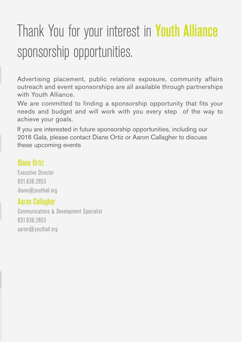## Thank You for your interest in Youth Alliance sponsorship opportunities.

Advertising placement, public relations exposure, community affairs outreach and event sponsorships are all available through partnerships with Youth Alliance.

We are committed to finding a sponsorship opportunity that fits your needs and budget and will work with you every step of the way to achieve your goals.

If you are interested in future sponsorship opportunities, including our 2016 Gala, please contact Diane Ortiz or Aaron Callagher to discuss these upcoming events

#### Diane Ortiz

Executive Director 831.636.2853 diane@youthall.org

#### Aaron Callagher

Communications & Development Specialist 831.636.2853 aaron@youthall.org